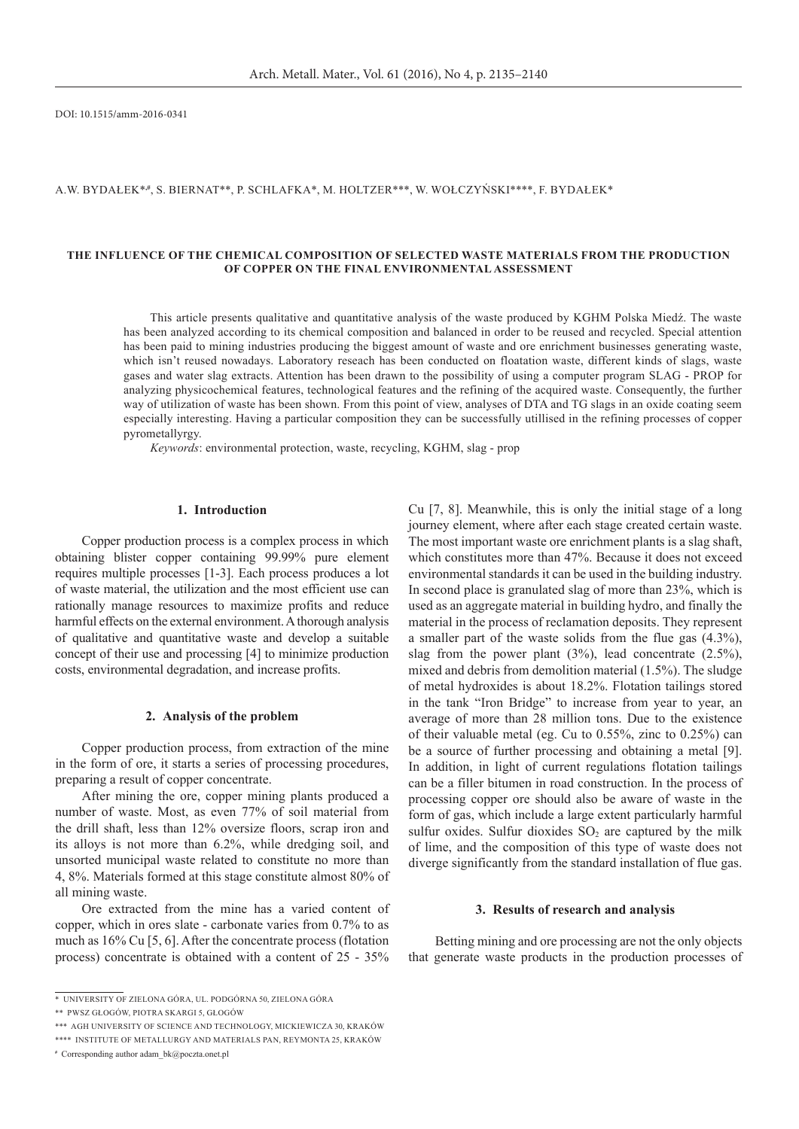DOI: 10.1515/amm-2016-0341

### A.W. Bydałek\***,#**, S. Biernat\*\*, P. Schlafka\*, M. Holtzer\*\*\*, W. Wołczyński\*\*\*\*, F. Bydałek\*

## **The influence of the chemical composition of selected waste materials from the production of copper on the final environmental assessment**

This article presents qualitative and quantitative analysis of the waste produced by KGHM Polska Miedź. The waste has been analyzed according to its chemical composition and balanced in order to be reused and recycled. Special attention has been paid to mining industries producing the biggest amount of waste and ore enrichment businesses generating waste, which isn't reused nowadays. Laboratory reseach has been conducted on floatation waste, different kinds of slags, waste gases and water slag extracts. Attention has been drawn to the possibility of using a computer program SLAG - PROP for analyzing physicochemical features, technological features and the refining of the acquired waste. Consequently, the further way of utilization of waste has been shown. From this point of view, analyses of DTA and TG slags in an oxide coating seem especially interesting. Having a particular composition they can be successfully utillised in the refining processes of copper pyrometallyrgy.

*Keywords*: environmental protection, waste, recycling, KGHM, slag - prop

## **1. Introduction**

Copper production process is a complex process in which obtaining blister copper containing 99.99% pure element requires multiple processes [1-3]. Each process produces a lot of waste material, the utilization and the most efficient use can rationally manage resources to maximize profits and reduce harmful effects on the external environment. A thorough analysis of qualitative and quantitative waste and develop a suitable concept of their use and processing [4] to minimize production costs, environmental degradation, and increase profits.

### **2. Analysis of the problem**

Copper production process, from extraction of the mine in the form of ore, it starts a series of processing procedures, preparing a result of copper concentrate.

After mining the ore, copper mining plants produced a number of waste. Most, as even 77% of soil material from the drill shaft, less than 12% oversize floors, scrap iron and its alloys is not more than 6.2%, while dredging soil, and unsorted municipal waste related to constitute no more than 4, 8%. Materials formed at this stage constitute almost 80% of all mining waste.

Ore extracted from the mine has a varied content of copper, which in ores slate - carbonate varies from 0.7% to as much as 16% Cu [5, 6]. After the concentrate process (flotation process) concentrate is obtained with a content of 25 - 35% Cu [7, 8]. Meanwhile, this is only the initial stage of a long journey element, where after each stage created certain waste. The most important waste ore enrichment plants is a slag shaft, which constitutes more than 47%. Because it does not exceed environmental standards it can be used in the building industry. In second place is granulated slag of more than 23%, which is used as an aggregate material in building hydro, and finally the material in the process of reclamation deposits. They represent a smaller part of the waste solids from the flue gas (4.3%), slag from the power plant  $(3%)$ , lead concentrate  $(2.5%)$ , mixed and debris from demolition material (1.5%). The sludge of metal hydroxides is about 18.2%. Flotation tailings stored in the tank "Iron Bridge" to increase from year to year, an average of more than 28 million tons. Due to the existence of their valuable metal (eg. Cu to 0.55%, zinc to 0.25%) can be a source of further processing and obtaining a metal [9]. In addition, in light of current regulations flotation tailings can be a filler bitumen in road construction. In the process of processing copper ore should also be aware of waste in the form of gas, which include a large extent particularly harmful sulfur oxides. Sulfur dioxides  $SO<sub>2</sub>$  are captured by the milk of lime, and the composition of this type of waste does not diverge significantly from the standard installation of flue gas.

#### **3. Results of research and analysis**

Betting mining and ore processing are not the only objects that generate waste products in the production processes of

<sup>\*</sup>University of Zielona Góra, ul. Podgórna 50, Zielona Góra

<sup>\*\*</sup>PWSZ Głogów, Piotra Skargi 5, Głogów

<sup>\*\*\*</sup>AGH University of Science and Technology, Mickiewicza 30, Kraków

<sup>\*\*\*\*</sup>Institute of Metallurgy and Materials PAN, Reymonta 25, Kraków

**<sup>#</sup>** Corresponding author adam\_bk@poczta.onet.pl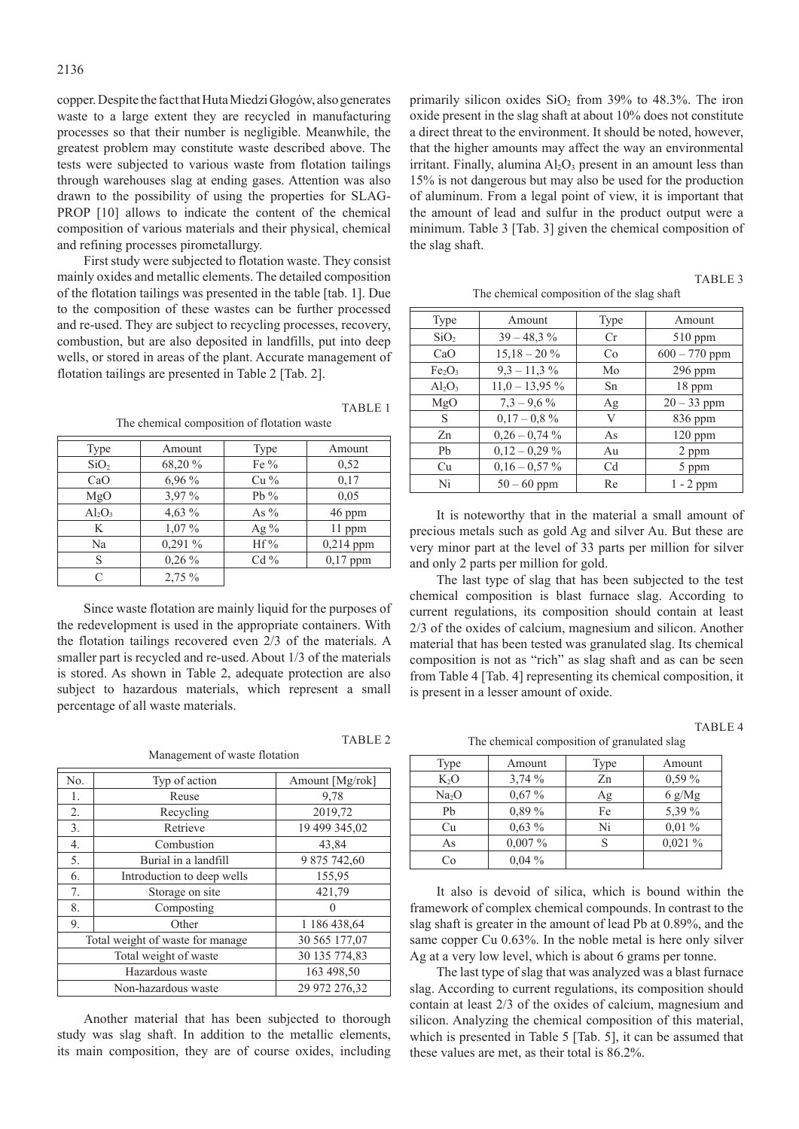copper. Despite the fact that Huta Miedzi Głogów, also generates waste to a large extent they are recycled in manufacturing processes so that their number is negligible. Meanwhile, the greatest problem may constitute waste described above. The tests were subjected to various waste from flotation tailings through warehouses slag at ending gases. Attention was also drawn to the possibility of using the properties for SLAG-PROP [10] allows to indicate the content of the chemical composition of various materials and their physical, chemical and refining processes pirometallurgy.

First study were subjected to flotation waste. They consist mainly oxides and metallic elements. The detailed composition of the flotation tailings was presented in the table [tab. 1]. Due to the composition of these wastes can be further processed and re-used. They are subject to recycling processes, recovery, combustion, but are also deposited in landfills, put into deep wells, or stored in areas of the plant. Accurate management of flotation tailings are presented in Table 2 [Tab. 2].

| Type             | Amount    | Type    | Amount      |
|------------------|-----------|---------|-------------|
| SiO <sub>2</sub> | 68,20 %   | Fe $\%$ | 0,52        |
| CaO              | 6,96 %    | $Cu\%$  | 0,17        |
| MgO              | 3,97 %    | Pb $%$  | 0,05        |
| $Al_2O_3$        | 4,63 $%$  | As $\%$ | 46 ppm      |
| K                | $1,07\%$  | Ag $\%$ | 11 ppm      |
| Na               | $0,291\%$ | $Hf\%$  | $0,214$ ppm |
| S                | $0,26\%$  | $Cd\%$  | $0,17$ ppm  |
|                  | 2,75 %    |         |             |

The chemical composition of flotation waste

TARIE<sub>1</sub>

TABLE 2

Since waste flotation are mainly liquid for the purposes of the redevelopment is used in the appropriate containers. With the flotation tailings recovered even 2/3 of the materials. A smaller part is recycled and re-used. About 1/3 of the materials is stored. As shown in Table 2, adequate protection are also subject to hazardous materials, which represent a small percentage of all waste materials.

Management of waste flotation

| No.                              | Typ of action              | Amount [Mg/rok] |
|----------------------------------|----------------------------|-----------------|
| 1.                               | Reuse                      | 9,78            |
| 2.                               | Recycling                  | 2019,72         |
| 3.                               | Retrieve                   | 19 499 345,02   |
| 4.                               | Combustion                 | 43,84           |
| 5.                               | Burial in a landfill       | 9 875 742,60    |
| 6.                               | Introduction to deep wells | 155,95          |
| 7.                               | Storage on site            | 421,79          |
| 8.                               | Composting                 |                 |
| 9.                               | Other                      | 1 186 438,64    |
| Total weight of waste for manage |                            | 30 565 177,07   |
| Total weight of waste            |                            | 30 135 774,83   |
| Hazardous waste                  |                            | 163 498,50      |
|                                  | 29 972 276.32              |                 |

Another material that has been subjected to thorough study was slag shaft. In addition to the metallic elements, its main composition, they are of course oxides, including primarily silicon oxides  $SiO<sub>2</sub>$  from 39% to 48.3%. The iron oxide present in the slag shaft at about 10% does not constitute a direct threat to the environment. It should be noted, however, that the higher amounts may affect the way an environmental irritant. Finally, alumina  $Al_2O_3$  present in an amount less than 15% is not dangerous but may also be used for the production of aluminum. From a legal point of view, it is important that the amount of lead and sulfur in the product output were a minimum. Table 3 [Tab. 3] given the chemical composition of the slag shaft.

The chemical composition of the slag shaft

| Type                           | Amount           | Type           | Amount          |
|--------------------------------|------------------|----------------|-----------------|
| SiO <sub>2</sub>               | $39 - 48.3\%$    | Cr             | $510$ ppm       |
| CaO                            | $15.18 - 20\%$   | Co             | $600 - 770$ ppm |
| Fe <sub>2</sub> O <sub>3</sub> | $9,3 - 11,3\%$   | Mo             | 296 ppm         |
| $Al_2O_3$                      | $11,0 - 13,95\%$ | Sn             | 18 ppm          |
| MgO                            | $7.3 - 9.6\%$    | Ag             | $20 - 33$ ppm   |
| S                              | $0.17 - 0.8 \%$  | V              | $836$ ppm       |
| Zn                             | $0.26 - 0.74\%$  | As             | $120$ ppm       |
| Pb                             | $0,12 - 0,29\%$  | Au             | 2 ppm           |
| Cu                             | $0,16-0,57%$     | C <sub>d</sub> | 5 ppm           |
| Ni                             | $50 - 60$ ppm    | Re             | $1 - 2$ ppm     |

It is noteworthy that in the material a small amount of precious metals such as gold Ag and silver Au. But these are very minor part at the level of 33 parts per million for silver and only 2 parts per million for gold.

The last type of slag that has been subjected to the test chemical composition is blast furnace slag. According to current regulations, its composition should contain at least 2/3 of the oxides of calcium, magnesium and silicon. Another material that has been tested was granulated slag. Its chemical composition is not as "rich" as slag shaft and as can be seen from Table 4 [Tab. 4] representing its chemical composition, it is present in a lesser amount of oxide.

TABLE<sub>4</sub>

TABLE<sub>3</sub>

The chemical composition of granulated slag

| Type              | Amount    | Type | Amount                  |
|-------------------|-----------|------|-------------------------|
| $K_2O$            | 3,74%     | Zn   | $0.59\%$                |
| Na <sub>2</sub> O | $0.67\%$  | Αg   | $6 \text{ g}/\text{Mg}$ |
| Pb                | $0.89\%$  | Fe   | 5,39 %                  |
| Сu                | $0.63\%$  | Ni   | $0.01\%$                |
| As                | $0,007\%$ | S    | 0.021%                  |
| Cо                | $0.04\%$  |      |                         |

It also is devoid of silica, which is bound within the framework of complex chemical compounds. In contrast to the slag shaft is greater in the amount of lead Pb at 0.89%, and the same copper Cu 0.63%. In the noble metal is here only silver Ag at a very low level, which is about 6 grams per tonne.

The last type of slag that was analyzed was a blast furnace slag. According to current regulations, its composition should contain at least 2/3 of the oxides of calcium, magnesium and silicon. Analyzing the chemical composition of this material, which is presented in Table 5 [Tab. 5], it can be assumed that these values are met, as their total is 86.2%.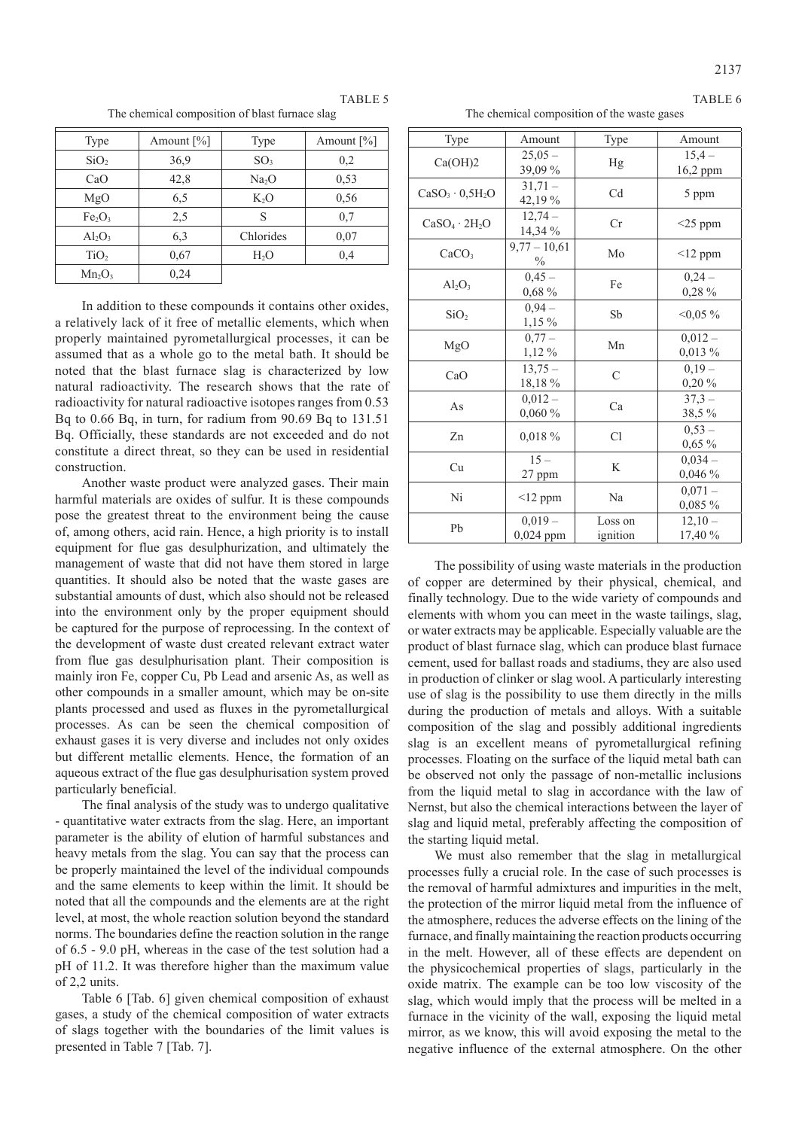TABLE 6

TABLE 5

The chemical composition of blast furnace slag

| Type                           | Amount $[\%]$ | Type              | Amount $[\%]$ |
|--------------------------------|---------------|-------------------|---------------|
| SiO <sub>2</sub>               | 36,9          | SO <sub>3</sub>   | 0,2           |
| CaO                            | 42,8          | Na <sub>2</sub> O | 0,53          |
| MgO                            | 6,5           | $K_2O$            | 0,56          |
| Fe <sub>2</sub> O <sub>3</sub> | 2,5           | S                 | 0,7           |
| $Al_2O_3$                      | 6,3           | Chlorides         | 0,07          |
| TiO <sub>2</sub>               | 0,67          | $H_2O$            | 0,4           |
| $Mn_2O_3$                      | 0,24          |                   |               |

In addition to these compounds it contains other oxides, a relatively lack of it free of metallic elements, which when properly maintained pyrometallurgical processes, it can be assumed that as a whole go to the metal bath. It should be noted that the blast furnace slag is characterized by low natural radioactivity. The research shows that the rate of radioactivity for natural radioactive isotopes ranges from 0.53 Bq to 0.66 Bq, in turn, for radium from 90.69 Bq to 131.51 Bq. Officially, these standards are not exceeded and do not constitute a direct threat, so they can be used in residential construction.

Another waste product were analyzed gases. Their main harmful materials are oxides of sulfur. It is these compounds pose the greatest threat to the environment being the cause of, among others, acid rain. Hence, a high priority is to install equipment for flue gas desulphurization, and ultimately the management of waste that did not have them stored in large quantities. It should also be noted that the waste gases are substantial amounts of dust, which also should not be released into the environment only by the proper equipment should be captured for the purpose of reprocessing. In the context of the development of waste dust created relevant extract water from flue gas desulphurisation plant. Their composition is mainly iron Fe, copper Cu, Pb Lead and arsenic As, as well as other compounds in a smaller amount, which may be on-site plants processed and used as fluxes in the pyrometallurgical processes. As can be seen the chemical composition of exhaust gases it is very diverse and includes not only oxides but different metallic elements. Hence, the formation of an aqueous extract of the flue gas desulphurisation system proved particularly beneficial.

The final analysis of the study was to undergo qualitative - quantitative water extracts from the slag. Here, an important parameter is the ability of elution of harmful substances and heavy metals from the slag. You can say that the process can be properly maintained the level of the individual compounds and the same elements to keep within the limit. It should be noted that all the compounds and the elements are at the right level, at most, the whole reaction solution beyond the standard norms. The boundaries define the reaction solution in the range of 6.5 - 9.0 pH, whereas in the case of the test solution had a pH of 11.2. It was therefore higher than the maximum value  $of 2.2$  units.

Table 6 [Tab. 6] given chemical composition of exhaust gases, a study of the chemical composition of water extracts of slags together with the boundaries of the limit values is presented in Table 7 [Tab. 7].

|  |  | The chemical composition of the waste gases |  |
|--|--|---------------------------------------------|--|
|  |  |                                             |  |

| Type                   | Amount                 | Type                | Amount                 |
|------------------------|------------------------|---------------------|------------------------|
| Ca(OH)2                | $25,05 -$<br>39,09 %   | Hg                  | $15,4-$<br>16,2 ppm    |
| $CaSO_3 \cdot 0.5H_2O$ | $31,71-$<br>42,19 %    | Cd                  | 5 ppm                  |
| $CaSO_4 \cdot 2H_2O$   | $12.74-$<br>14,34 %    | Cr                  | $<$ 25 ppm             |
| CaCO <sub>3</sub>      | $9,77 - 10,61$<br>$\%$ | Mo                  | $<12$ ppm              |
| $Al_2O_3$              | $0.45 -$<br>$0,68\%$   | Fe                  | $0,24-$<br>0,28 %      |
| SiO <sub>2</sub>       | $0.94 -$<br>$1,15\%$   | Sb                  | $<0.05\%$              |
| MgO                    | $0,77-$<br>$1,12\%$    | Mn                  | $0.012 -$<br>$0,013\%$ |
| CaO                    | $13,75-$<br>18,18 %    | $\mathcal{C}$       | $0,19-$<br>0.20%       |
| As                     | $0,012-$<br>0,060%     | Ca                  | $37,3 -$<br>38,5 %     |
| Zn                     | 0,018 %                | Cl                  | $0,53-$<br>$0,65\%$    |
| Cu                     | $15 -$<br>27 ppm       | K                   | $0,034-$<br>0,046%     |
| Ni                     | $\leq$ 12 ppm          | Na                  | $0,071-$<br>$0,085\%$  |
| Pb                     | $0,019-$<br>0,024 ppm  | Loss on<br>ignition | $12,10-$<br>17,40 %    |

The possibility of using waste materials in the production of copper are determined by their physical, chemical, and finally technology. Due to the wide variety of compounds and elements with whom you can meet in the waste tailings, slag, or water extracts may be applicable. Especially valuable are the product of blast furnace slag, which can produce blast furnace cement, used for ballast roads and stadiums, they are also used in production of clinker or slag wool. A particularly interesting use of slag is the possibility to use them directly in the mills during the production of metals and alloys. With a suitable composition of the slag and possibly additional ingredients slag is an excellent means of pyrometallurgical refining processes. Floating on the surface of the liquid metal bath can be observed not only the passage of non-metallic inclusions from the liquid metal to slag in accordance with the law of Nernst, but also the chemical interactions between the layer of slag and liquid metal, preferably affecting the composition of the starting liquid metal.

We must also remember that the slag in metallurgical processes fully a crucial role. In the case of such processes is the removal of harmful admixtures and impurities in the melt, the protection of the mirror liquid metal from the influence of the atmosphere, reduces the adverse effects on the lining of the furnace, and finally maintaining the reaction products occurring in the melt. However, all of these effects are dependent on the physicochemical properties of slags, particularly in the oxide matrix. The example can be too low viscosity of the slag, which would imply that the process will be melted in a furnace in the vicinity of the wall, exposing the liquid metal mirror, as we know, this will avoid exposing the metal to the negative influence of the external atmosphere. On the other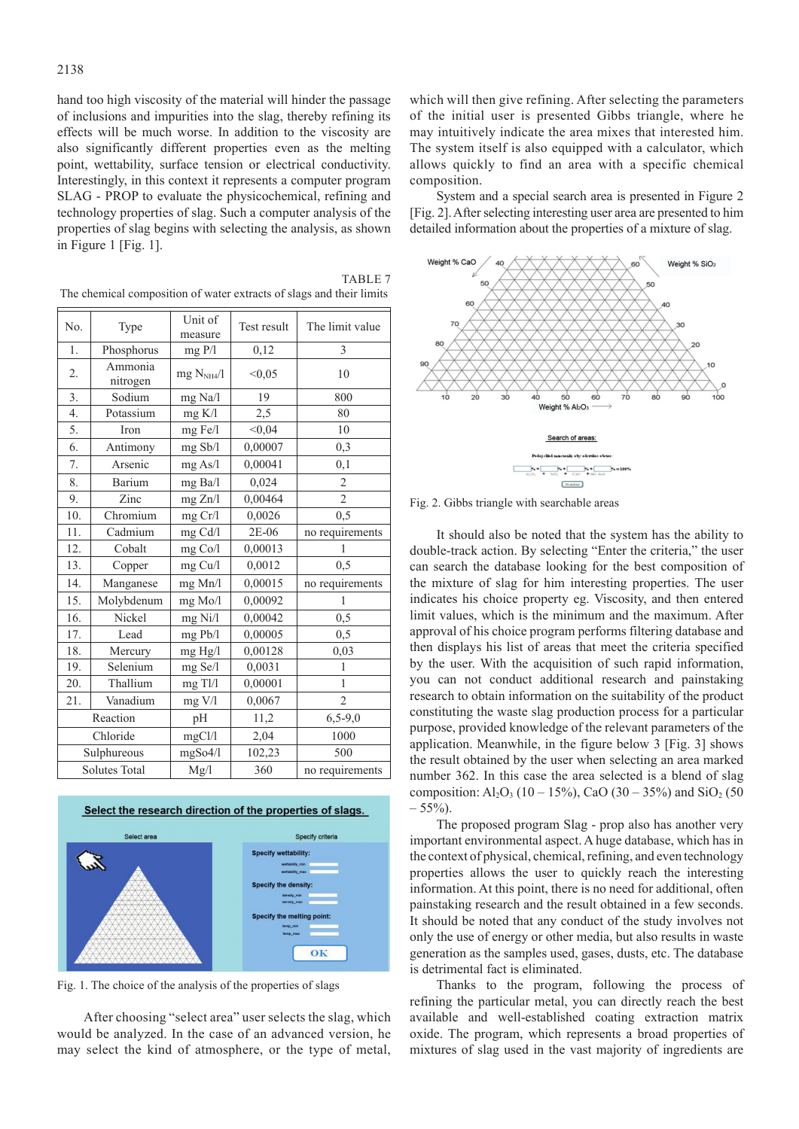hand too high viscosity of the material will hinder the passage of inclusions and impurities into the slag, thereby refining its effects will be much worse. In addition to the viscosity are also significantly different properties even as the melting point, wettability, surface tension or electrical conductivity. Interestingly, in this context it represents a computer program SLAG - PROP to evaluate the physicochemical, refining and technology properties of slag. Such a computer analysis of the properties of slag begins with selecting the analysis, as shown in Figure 1 [Fig. 1].

| No.      | Type                 | Unit of<br>measure | Test result | The limit value |
|----------|----------------------|--------------------|-------------|-----------------|
| 1.       | Phosphorus           | mgP/1              | 0,12        | 3               |
| 2.       | Ammonia<br>nitrogen  | $mg$ $N_{NH4}/l$   | < 0.05      | 10              |
| 3.       | Sodium               | mg Na/l            | 19          | 800             |
| 4.       | Potassium            | mg K/l             | 2,5         | 80              |
| 5.       | Iron                 | mg Fe/l            | < 0,04      | 10              |
| 6.       | Antimony             | mg Sb/l            | 0,00007     | 0,3             |
| 7.       | Arsenic              | mg As/l            | 0,00041     | 0,1             |
| 8.       | Barium               | mg Ba/l            | 0,024       | $\overline{2}$  |
| 9.       | Zinc                 | mg Zn/l            | 0,00464     | $\overline{c}$  |
| 10.      | Chromium             | mg Cr/l            | 0.0026      | 0,5             |
| 11.      | Cadmium              | mg Cd/l            | 2E-06       | no requirements |
| 12.      | Cobalt               | mg Co/l            | 0,00013     | 1               |
| 13.      | Copper               | mg Cu/l            | 0,0012      | 0,5             |
| 14.      | Manganese            | mg Mn/l            | 0,00015     | no requirements |
| 15.      | Molybdenum           | mg Mo/l            | 0,00092     | 1               |
| 16.      | Nickel               | $mg$ Ni/l          | 0,00042     | 0,5             |
| 17.      | Lead                 | mg Pb/l            | 0,00005     | 0,5             |
| 18.      | Mercury              | mg Hg/l            | 0,00128     | 0,03            |
| 19.      | Selenium             | $mg$ Se/ $l$       | 0,0031      | 1               |
| 20.      | Thallium             | mg Tl/l            | 0,00001     | $\mathbf{1}$    |
| 21.      | Vanadium             | mg V/l             | 0,0067      | $\overline{2}$  |
| Reaction |                      | pH                 | 11,2        | $6,5-9,0$       |
|          | Chloride             | mgCl/l             | 2,04        | 1000            |
|          | Sulphureous          | mgSo4/l            | 102,23      | 500             |
|          | <b>Solutes Total</b> | Mg/l               | 360         | no requirements |

The chemical composition of water extracts of slags and their limits

TABLE<sub>7</sub>



Fig. 1. The choice of the analysis of the properties of slags

After choosing "select area" user selects the slag, which would be analyzed. In the case of an advanced version, he may select the kind of atmosphere, or the type of metal,

which will then give refining. After selecting the parameters of the initial user is presented Gibbs triangle, where he may intuitively indicate the area mixes that interested him. The system itself is also equipped with a calculator, which allows quickly to find an area with a specific chemical composition.

System and a special search area is presented in Figure 2 [Fig. 2]. After selecting interesting user area are presented to him detailed information about the properties of a mixture of slag.



Fig. 2. Gibbs triangle with searchable areas

It should also be noted that the system has the ability to double-track action. By selecting "Enter the criteria," the user can search the database looking for the best composition of the mixture of slag for him interesting properties. The user indicates his choice property eg. Viscosity, and then entered limit values, which is the minimum and the maximum. After approval of his choice program performs filtering database and then displays his list of areas that meet the criteria specified by the user. With the acquisition of such rapid information, you can not conduct additional research and painstaking research to obtain information on the suitability of the product constituting the waste slag production process for a particular purpose, provided knowledge of the relevant parameters of the application. Meanwhile, in the figure below 3 [Fig. 3] shows the result obtained by the user when selecting an area marked number 362. In this case the area selected is a blend of slag composition:  $Al_2O_3$  (10 – 15%), CaO (30 – 35%) and SiO<sub>2</sub> (50  $-55%$ ).

The proposed program Slag - prop also has another very important environmental aspect. A huge database, which has in the context of physical, chemical, refining, and even technology properties allows the user to quickly reach the interesting information. At this point, there is no need for additional, often painstaking research and the result obtained in a few seconds. It should be noted that any conduct of the study involves not only the use of energy or other media, but also results in waste generation as the samples used, gases, dusts, etc. The database is detrimental fact is eliminated.

Thanks to the program, following the process of refining the particular metal, you can directly reach the best available and well-established coating extraction matrix oxide. The program, which represents a broad properties of mixtures of slag used in the vast majority of ingredients are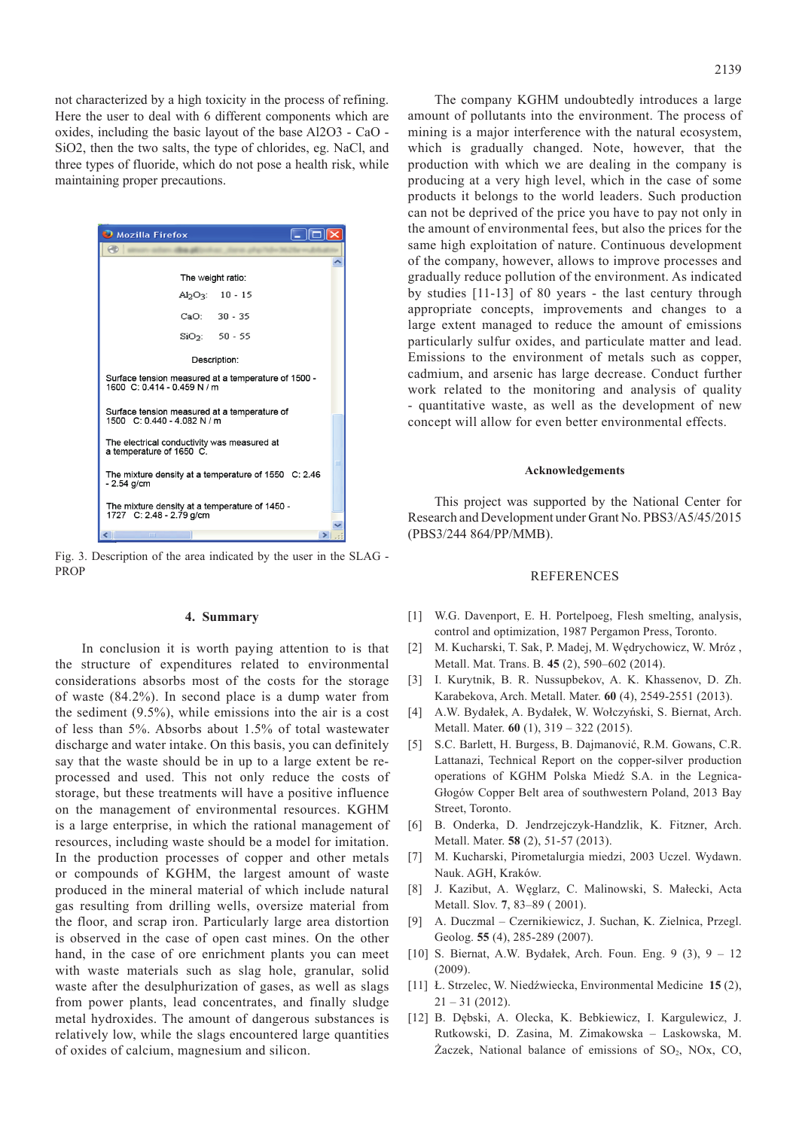not characterized by a high toxicity in the process of refining. Here the user to deal with 6 different components which are oxides, including the basic layout of the base Al2O3 - CaO - SiO2, then the two salts, the type of chlorides, eg. NaCl, and three types of fluoride, which do not pose a health risk, while maintaining proper precautions.

| $\Box$ Mozilla Firefox                                                             |
|------------------------------------------------------------------------------------|
|                                                                                    |
|                                                                                    |
| The weight ratio:                                                                  |
| $Al_2O_3$ : 10 - 15                                                                |
| $CaO: 30 - 35$                                                                     |
| $SiO2: 50 - 55$                                                                    |
| Description:                                                                       |
| Surface tension measured at a temperature of 1500 -<br>1600 C: 0.414 - 0.459 N / m |
| Surface tension measured at a temperature of<br>1500 C: 0.440 - 4.082 N / m        |
| The electrical conductivity was measured at<br>a temperature of 1650 C.            |
| The mixture density at a temperature of 1550 C: 2.46<br>$-2.54$ g/cm               |
| The mixture density at a temperature of 1450 -<br>1727 C: 2.48 - 2.79 g/cm         |
| IIII                                                                               |

Fig. 3. Description of the area indicated by the user in the SLAG - PROP

# **4. Summary**

In conclusion it is worth paying attention to is that the structure of expenditures related to environmental considerations absorbs most of the costs for the storage of waste (84.2%). In second place is a dump water from the sediment (9.5%), while emissions into the air is a cost of less than 5%. Absorbs about 1.5% of total wastewater discharge and water intake. On this basis, you can definitely say that the waste should be in up to a large extent be reprocessed and used. This not only reduce the costs of storage, but these treatments will have a positive influence on the management of environmental resources. KGHM is a large enterprise, in which the rational management of resources, including waste should be a model for imitation. In the production processes of copper and other metals or compounds of KGHM, the largest amount of waste produced in the mineral material of which include natural gas resulting from drilling wells, oversize material from the floor, and scrap iron. Particularly large area distortion is observed in the case of open cast mines. On the other hand, in the case of ore enrichment plants you can meet with waste materials such as slag hole, granular, solid waste after the desulphurization of gases, as well as slags from power plants, lead concentrates, and finally sludge metal hydroxides. The amount of dangerous substances is relatively low, while the slags encountered large quantities of oxides of calcium, magnesium and silicon.

The company KGHM undoubtedly introduces a large amount of pollutants into the environment. The process of mining is a major interference with the natural ecosystem, which is gradually changed. Note, however, that the production with which we are dealing in the company is producing at a very high level, which in the case of some products it belongs to the world leaders. Such production can not be deprived of the price you have to pay not only in the amount of environmental fees, but also the prices for the same high exploitation of nature. Continuous development of the company, however, allows to improve processes and gradually reduce pollution of the environment. As indicated by studies [11-13] of 80 years - the last century through appropriate concepts, improvements and changes to a large extent managed to reduce the amount of emissions particularly sulfur oxides, and particulate matter and lead. Emissions to the environment of metals such as copper, cadmium, and arsenic has large decrease. Conduct further work related to the monitoring and analysis of quality - quantitative waste, as well as the development of new concept will allow for even better environmental effects.

### **Acknowledgements**

This project was supported by the National Center for Research and Development under Grant No. PBS3/A5/45/2015 (PBS3/244 864/PP/MMB).

# **REFERENCES**

- [1] W.G. Davenport, E. H. Portelpoeg, Flesh smelting, analysis, control and optimization, 1987 Pergamon Press, Toronto.
- [2] M. Kucharski, T. Sak, P. Madej, M. Wędrychowicz, W. Mróz , Metall. Mat. Trans. B. **45** (2), 590–602 (2014).
- [3] I. Kurytnik, B. R. Nussupbekov, A. K. Khassenov, D. Zh. Karabekova, Arch. Metall. Mater. **60** (4), 2549-2551 (2013).
- [4] A.W. Bydałek, A. Bydałek, W. Wołczyński, S. Biernat, Arch. Metall. Mater. **60** (1), 319 – 322 (2015).
- [5] S.C. Barlett, H. Burgess, B. Dajmanović, R.M. Gowans, C.R. Lattanazi, Technical Report on the copper-silver production operations of KGHM Polska Miedź S.A. in the Legnica-Głogów Copper Belt area of southwestern Poland, 2013 Bay Street, Toronto.
- [6] B. Onderka, D. Jendrzejczyk-Handzlik, K. Fitzner, Arch. Metall. Mater. **58** (2), 51-57 (2013).
- [7] M. Kucharski, Pirometalurgia miedzi, 2003 Uczel. Wydawn. Nauk. AGH, Kraków.
- [8] J. Kazibut, A. Węglarz, C. Malinowski, S. Małecki, Acta Metall. Slov. **7**, 83–89 ( 2001).
- [9] A. Duczmal Czernikiewicz, J. Suchan, K. Zielnica, Przegl. Geolog. **55** (4), 285-289 (2007).
- [10] S. Biernat, A.W. Bydałek, Arch. Foun. Eng. 9 (3), 9 12 (2009).
- [11] Ł. Strzelec, W. Niedźwiecka, Environmental Medicine **15** (2),  $21 - 31$  (2012).
- [12] B. Dębski, A. Olecka, K. Bebkiewicz, I. Kargulewicz, J. Rutkowski, D. Zasina, M. Zimakowska – Laskowska, M.  $\text{Zaczek}$ , National balance of emissions of SO<sub>2</sub>, NO<sub>x</sub>, CO<sub>2</sub>,